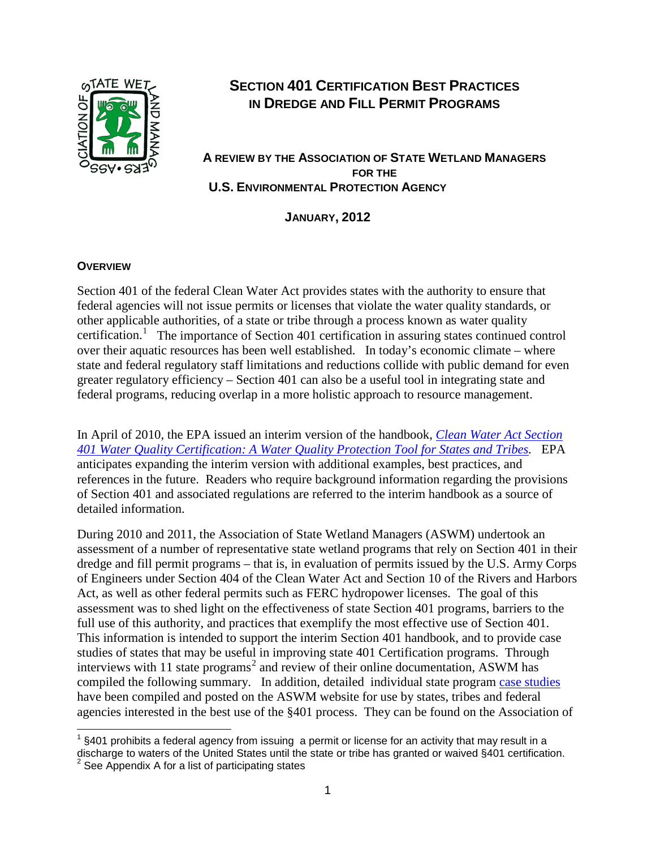

# **SECTION 401 CERTIFICATION BEST PRACTICES IN DREDGE AND FILL PERMIT PROGRAMS**

## **A REVIEW BY THE ASSOCIATION OF STATE WETLAND MANAGERS FOR THE U.S. ENVIRONMENTAL PROTECTION AGENCY**

**JANUARY, 2012**

#### **OVERVIEW**

Section 401 of the federal Clean Water Act provides states with the authority to ensure that federal agencies will not issue permits or licenses that violate the water quality standards, or other applicable authorities, of a state or tribe through a process known as water quality certification.<sup>[1](#page-0-0)</sup> The importance of Section 401 certification in assuring states continued control over their aquatic resources has been well established. In today's economic climate – where state and federal regulatory staff limitations and reductions collide with public demand for even greater regulatory efficiency – Section 401 can also be a useful tool in integrating state and federal programs, reducing overlap in a more holistic approach to resource management.

In April of 2010, the EPA issued an interim version of the handbook, *[Clean Water Act Section](http://water.epa.gov/lawsregs/guidance/cwa/upload/CWA_401_Handbook_2010_Interim.pdf)  [401 Water Quality Certification: A Water Quality Protection Tool for States and Tribes.](http://water.epa.gov/lawsregs/guidance/cwa/upload/CWA_401_Handbook_2010_Interim.pdf)* EPA anticipates expanding the interim version with additional examples, best practices, and references in the future. Readers who require background information regarding the provisions of Section 401 and associated regulations are referred to the interim handbook as a source of detailed information.

During 2010 and 2011, the Association of State Wetland Managers (ASWM) undertook an assessment of a number of representative state wetland programs that rely on Section 401 in their dredge and fill permit programs – that is, in evaluation of permits issued by the U.S. Army Corps of Engineers under Section 404 of the Clean Water Act and Section 10 of the Rivers and Harbors Act, as well as other federal permits such as FERC hydropower licenses. The goal of this assessment was to shed light on the effectiveness of state Section 401 programs, barriers to the full use of this authority, and practices that exemplify the most effective use of Section 401. This information is intended to support the interim Section 401 handbook, and to provide case studies of states that may be useful in improving state 401 Certification programs. Through interviews with 11 state programs [2](#page-0-1) and review of their online documentation, ASWM has compiled the following summary. In addition, detailed individual state program [case studies](http://aswm.org/wetland-programs/401-certification/1496-401-certification-case-studies) have been compiled and posted on the ASWM website for use by states, tribes and federal agencies interested in the best use of the §401 process. They can be found on the Association of

<span id="page-0-0"></span> $1$  §401 prohibits a federal agency from issuing a permit or license for an activity that may result in a discharge to waters of the United States until the state or tribe has granted or waived §401 certification.

<span id="page-0-1"></span>See Appendix A for a list of participating states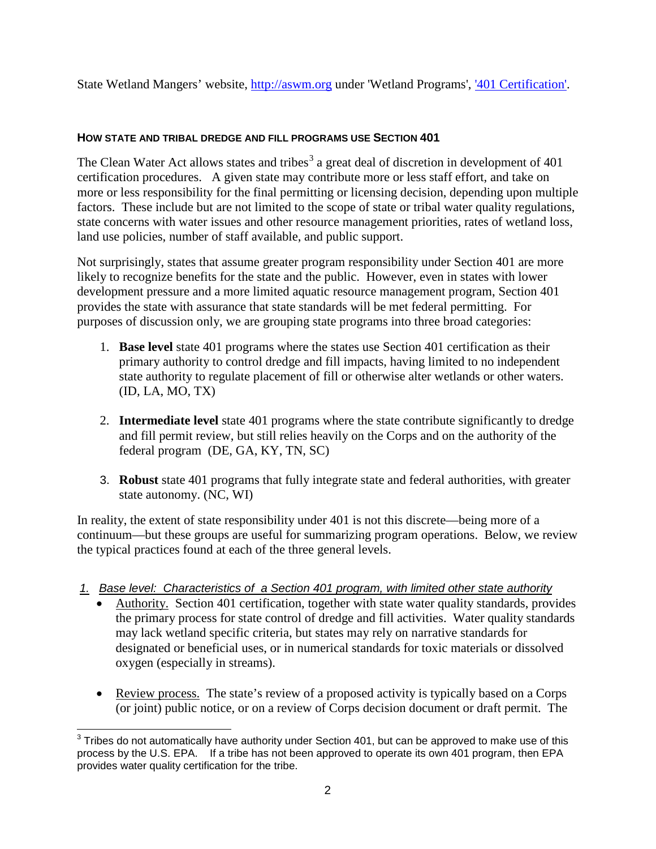State Wetland Mangers' website, [http://aswm.org](http://aswm.org/) under 'Wetland Programs', ['401 Certification'.](http://aswm.org/wetland-programs/401-certification)

## **HOW STATE AND TRIBAL DREDGE AND FILL PROGRAMS USE SECTION 401**

The Clean Water Act allows states and tribes<sup>[3](#page-1-0)</sup> a great deal of discretion in development of  $401$ certification procedures. A given state may contribute more or less staff effort, and take on more or less responsibility for the final permitting or licensing decision, depending upon multiple factors. These include but are not limited to the scope of state or tribal water quality regulations, state concerns with water issues and other resource management priorities, rates of wetland loss, land use policies, number of staff available, and public support.

Not surprisingly, states that assume greater program responsibility under Section 401 are more likely to recognize benefits for the state and the public. However, even in states with lower development pressure and a more limited aquatic resource management program, Section 401 provides the state with assurance that state standards will be met federal permitting. For purposes of discussion only, we are grouping state programs into three broad categories:

- 1. **Base level** state 401 programs where the states use Section 401 certification as their primary authority to control dredge and fill impacts, having limited to no independent state authority to regulate placement of fill or otherwise alter wetlands or other waters. (ID, LA, MO, TX)
- 2. **Intermediate level** state 401 programs where the state contribute significantly to dredge and fill permit review, but still relies heavily on the Corps and on the authority of the federal program (DE, GA, KY, TN, SC)
- 3. **Robust** state 401 programs that fully integrate state and federal authorities, with greater state autonomy. (NC, WI)

In reality, the extent of state responsibility under 401 is not this discrete—being more of a continuum—but these groups are useful for summarizing program operations. Below, we review the typical practices found at each of the three general levels.

- *1. Base level: Characteristics of a Section 401 program, with limited other state authority* 
	- Authority. Section 401 certification, together with state water quality standards, provides the primary process for state control of dredge and fill activities. Water quality standards may lack wetland specific criteria, but states may rely on narrative standards for designated or beneficial uses, or in numerical standards for toxic materials or dissolved oxygen (especially in streams).
	- Review process. The state's review of a proposed activity is typically based on a Corps (or joint) public notice, or on a review of Corps decision document or draft permit. The

<span id="page-1-0"></span> $3$  Tribes do not automatically have authority under Section 401, but can be approved to make use of this process by the U.S. EPA. If a tribe has not been approved to operate its own 401 program, then EPA provides water quality certification for the tribe.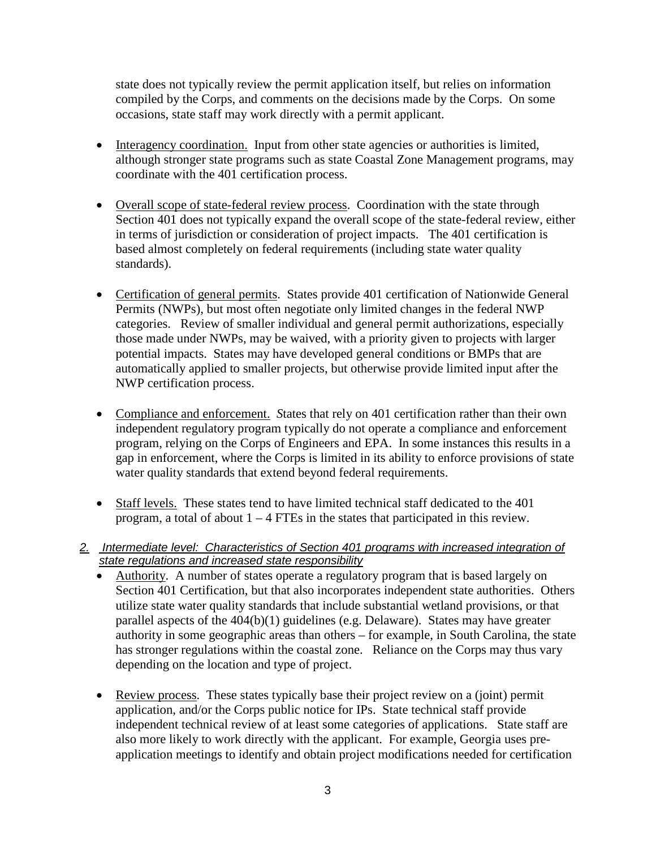state does not typically review the permit application itself, but relies on information compiled by the Corps, and comments on the decisions made by the Corps. On some occasions, state staff may work directly with a permit applicant.

- Interagency coordination. Input from other state agencies or authorities is limited, although stronger state programs such as state Coastal Zone Management programs, may coordinate with the 401 certification process.
- Overall scope of state-federal review process. Coordination with the state through Section 401 does not typically expand the overall scope of the state-federal review, either in terms of jurisdiction or consideration of project impacts. The 401 certification is based almost completely on federal requirements (including state water quality standards).
- Certification of general permits. States provide 401 certification of Nationwide General Permits (NWPs), but most often negotiate only limited changes in the federal NWP categories. Review of smaller individual and general permit authorizations, especially those made under NWPs, may be waived, with a priority given to projects with larger potential impacts. States may have developed general conditions or BMPs that are automatically applied to smaller projects, but otherwise provide limited input after the NWP certification process.
- Compliance and enforcement. *S*tates that rely on 401 certification rather than their own independent regulatory program typically do not operate a compliance and enforcement program, relying on the Corps of Engineers and EPA. In some instances this results in a gap in enforcement, where the Corps is limited in its ability to enforce provisions of state water quality standards that extend beyond federal requirements.
- Staff levels. These states tend to have limited technical staff dedicated to the 401 program, a total of about  $1 - 4$  FTEs in the states that participated in this review.
- *2. Intermediate level: Characteristics of Section 401 programs with increased integration of state regulations and increased state responsibility*
	- Authority. A number of states operate a regulatory program that is based largely on Section 401 Certification, but that also incorporates independent state authorities. Others utilize state water quality standards that include substantial wetland provisions, or that parallel aspects of the 404(b)(1) guidelines (e.g. Delaware). States may have greater authority in some geographic areas than others – for example, in South Carolina, the state has stronger regulations within the coastal zone. Reliance on the Corps may thus vary depending on the location and type of project.
	- Review process. These states typically base their project review on a (joint) permit application, and/or the Corps public notice for IPs. State technical staff provide independent technical review of at least some categories of applications. State staff are also more likely to work directly with the applicant. For example, Georgia uses preapplication meetings to identify and obtain project modifications needed for certification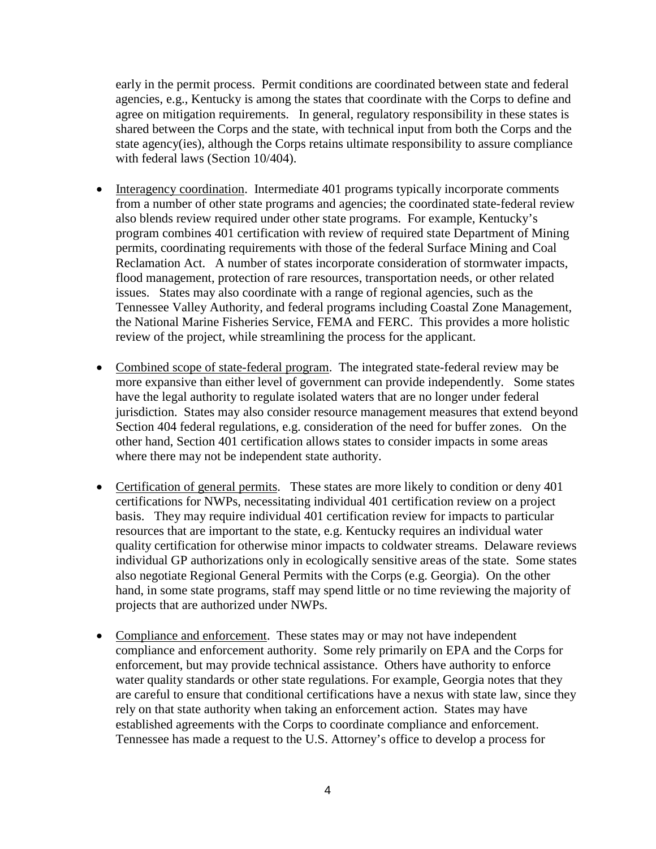early in the permit process. Permit conditions are coordinated between state and federal agencies, e.g., Kentucky is among the states that coordinate with the Corps to define and agree on mitigation requirements. In general, regulatory responsibility in these states is shared between the Corps and the state, with technical input from both the Corps and the state agency(ies), although the Corps retains ultimate responsibility to assure compliance with federal laws (Section 10/404).

- Interagency coordination. Intermediate 401 programs typically incorporate comments from a number of other state programs and agencies; the coordinated state-federal review also blends review required under other state programs. For example, Kentucky's program combines 401 certification with review of required state Department of Mining permits, coordinating requirements with those of the federal Surface Mining and Coal Reclamation Act. A number of states incorporate consideration of stormwater impacts, flood management, protection of rare resources, transportation needs, or other related issues. States may also coordinate with a range of regional agencies, such as the Tennessee Valley Authority, and federal programs including Coastal Zone Management, the National Marine Fisheries Service, FEMA and FERC. This provides a more holistic review of the project, while streamlining the process for the applicant.
- Combined scope of state-federal program. The integrated state-federal review may be more expansive than either level of government can provide independently. Some states have the legal authority to regulate isolated waters that are no longer under federal jurisdiction. States may also consider resource management measures that extend beyond Section 404 federal regulations, e.g. consideration of the need for buffer zones. On the other hand, Section 401 certification allows states to consider impacts in some areas where there may not be independent state authority.
- Certification of general permits. These states are more likely to condition or deny 401 certifications for NWPs, necessitating individual 401 certification review on a project basis. They may require individual 401 certification review for impacts to particular resources that are important to the state, e.g. Kentucky requires an individual water quality certification for otherwise minor impacts to coldwater streams. Delaware reviews individual GP authorizations only in ecologically sensitive areas of the state. Some states also negotiate Regional General Permits with the Corps (e.g. Georgia). On the other hand, in some state programs, staff may spend little or no time reviewing the majority of projects that are authorized under NWPs.
- Compliance and enforcement. These states may or may not have independent compliance and enforcement authority. Some rely primarily on EPA and the Corps for enforcement, but may provide technical assistance. Others have authority to enforce water quality standards or other state regulations. For example, Georgia notes that they are careful to ensure that conditional certifications have a nexus with state law, since they rely on that state authority when taking an enforcement action. States may have established agreements with the Corps to coordinate compliance and enforcement. Tennessee has made a request to the U.S. Attorney's office to develop a process for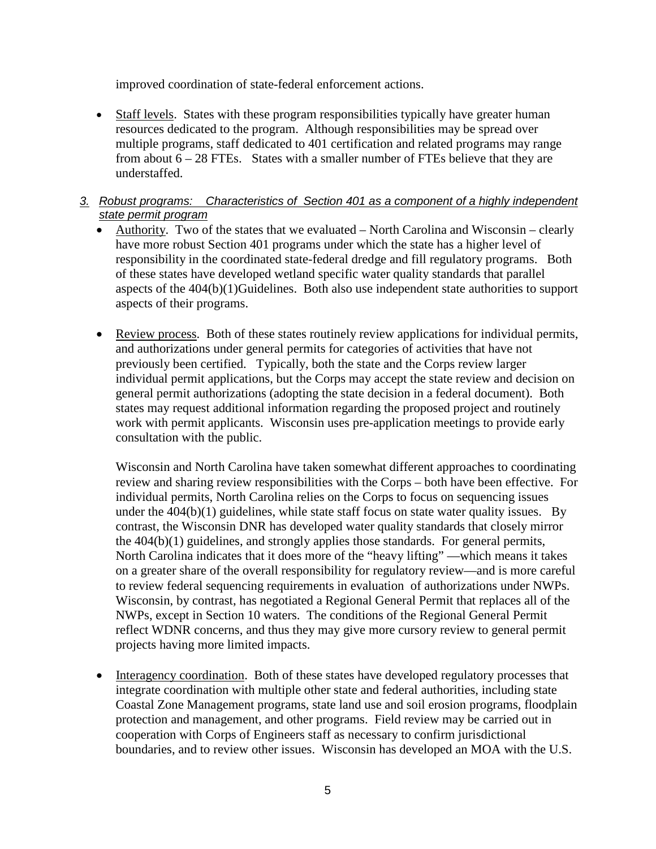improved coordination of state-federal enforcement actions.

• Staff levels. States with these program responsibilities typically have greater human resources dedicated to the program. Although responsibilities may be spread over multiple programs, staff dedicated to 401 certification and related programs may range from about  $6 - 28$  FTEs. States with a smaller number of FTEs believe that they are understaffed.

## *3. Robust programs: Characteristics of Section 401 as a component of a highly independent state permit program*

- Authority. Two of the states that we evaluated North Carolina and Wisconsin clearly have more robust Section 401 programs under which the state has a higher level of responsibility in the coordinated state-federal dredge and fill regulatory programs. Both of these states have developed wetland specific water quality standards that parallel aspects of the 404(b)(1)Guidelines. Both also use independent state authorities to support aspects of their programs.
- Review process. Both of these states routinely review applications for individual permits, and authorizations under general permits for categories of activities that have not previously been certified. Typically, both the state and the Corps review larger individual permit applications, but the Corps may accept the state review and decision on general permit authorizations (adopting the state decision in a federal document). Both states may request additional information regarding the proposed project and routinely work with permit applicants. Wisconsin uses pre-application meetings to provide early consultation with the public.

Wisconsin and North Carolina have taken somewhat different approaches to coordinating review and sharing review responsibilities with the Corps – both have been effective. For individual permits, North Carolina relies on the Corps to focus on sequencing issues under the  $404(b)(1)$  guidelines, while state staff focus on state water quality issues. By contrast, the Wisconsin DNR has developed water quality standards that closely mirror the 404(b)(1) guidelines, and strongly applies those standards. For general permits, North Carolina indicates that it does more of the "heavy lifting" —which means it takes on a greater share of the overall responsibility for regulatory review—and is more careful to review federal sequencing requirements in evaluation of authorizations under NWPs. Wisconsin, by contrast, has negotiated a Regional General Permit that replaces all of the NWPs, except in Section 10 waters. The conditions of the Regional General Permit reflect WDNR concerns, and thus they may give more cursory review to general permit projects having more limited impacts.

• Interagency coordination. Both of these states have developed regulatory processes that integrate coordination with multiple other state and federal authorities, including state Coastal Zone Management programs, state land use and soil erosion programs, floodplain protection and management, and other programs. Field review may be carried out in cooperation with Corps of Engineers staff as necessary to confirm jurisdictional boundaries, and to review other issues. Wisconsin has developed an MOA with the U.S.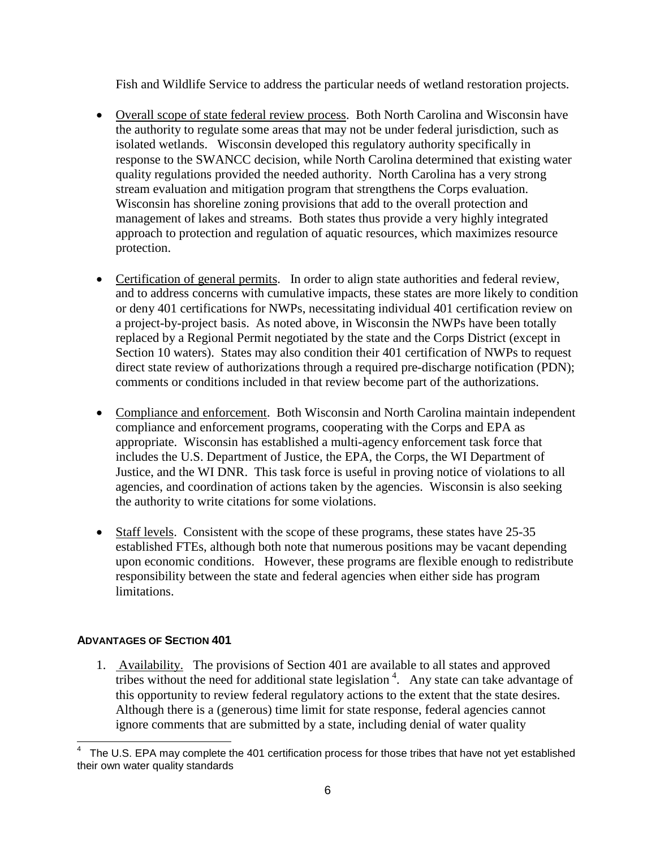Fish and Wildlife Service to address the particular needs of wetland restoration projects.

- Overall scope of state federal review process. Both North Carolina and Wisconsin have the authority to regulate some areas that may not be under federal jurisdiction, such as isolated wetlands. Wisconsin developed this regulatory authority specifically in response to the SWANCC decision, while North Carolina determined that existing water quality regulations provided the needed authority. North Carolina has a very strong stream evaluation and mitigation program that strengthens the Corps evaluation. Wisconsin has shoreline zoning provisions that add to the overall protection and management of lakes and streams. Both states thus provide a very highly integrated approach to protection and regulation of aquatic resources, which maximizes resource protection.
- Certification of general permits. In order to align state authorities and federal review, and to address concerns with cumulative impacts, these states are more likely to condition or deny 401 certifications for NWPs, necessitating individual 401 certification review on a project-by-project basis. As noted above, in Wisconsin the NWPs have been totally replaced by a Regional Permit negotiated by the state and the Corps District (except in Section 10 waters). States may also condition their 401 certification of NWPs to request direct state review of authorizations through a required pre-discharge notification (PDN); comments or conditions included in that review become part of the authorizations.
- Compliance and enforcement. Both Wisconsin and North Carolina maintain independent compliance and enforcement programs, cooperating with the Corps and EPA as appropriate. Wisconsin has established a multi-agency enforcement task force that includes the U.S. Department of Justice, the EPA, the Corps, the WI Department of Justice, and the WI DNR. This task force is useful in proving notice of violations to all agencies, and coordination of actions taken by the agencies. Wisconsin is also seeking the authority to write citations for some violations.
- Staff levels. Consistent with the scope of these programs, these states have 25-35 established FTEs, although both note that numerous positions may be vacant depending upon economic conditions. However, these programs are flexible enough to redistribute responsibility between the state and federal agencies when either side has program limitations.

## **ADVANTAGES OF SECTION 401**

1. Availability. The provisions of Section 401 are available to all states and approved tribes without the need for additional state legislation<sup>[4](#page-5-0)</sup>. Any state can take advantage of this opportunity to review federal regulatory actions to the extent that the state desires. Although there is a (generous) time limit for state response, federal agencies cannot ignore comments that are submitted by a state, including denial of water quality

<span id="page-5-0"></span> <sup>4</sup> The U.S. EPA may complete the 401 certification process for those tribes that have not yet established their own water quality standards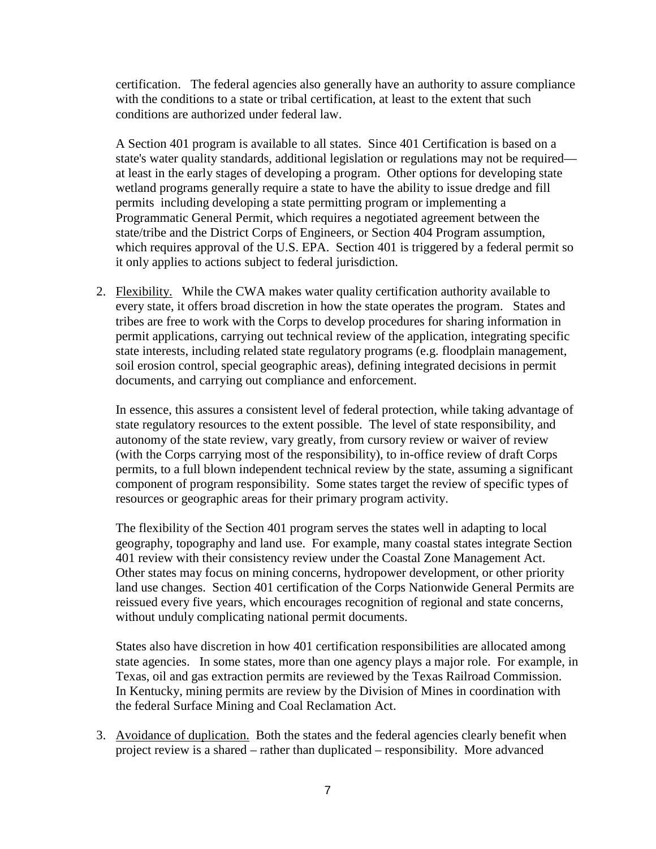certification. The federal agencies also generally have an authority to assure compliance with the conditions to a state or tribal certification, at least to the extent that such conditions are authorized under federal law.

A Section 401 program is available to all states. Since 401 Certification is based on a state's water quality standards, additional legislation or regulations may not be required at least in the early stages of developing a program. Other options for developing state wetland programs generally require a state to have the ability to issue dredge and fill permits including developing a state permitting program or implementing a Programmatic General Permit, which requires a negotiated agreement between the state/tribe and the District Corps of Engineers, or Section 404 Program assumption, which requires approval of the U.S. EPA. Section 401 is triggered by a federal permit so it only applies to actions subject to federal jurisdiction.

2. Flexibility. While the CWA makes water quality certification authority available to every state, it offers broad discretion in how the state operates the program. States and tribes are free to work with the Corps to develop procedures for sharing information in permit applications, carrying out technical review of the application, integrating specific state interests, including related state regulatory programs (e.g. floodplain management, soil erosion control, special geographic areas), defining integrated decisions in permit documents, and carrying out compliance and enforcement.

In essence, this assures a consistent level of federal protection, while taking advantage of state regulatory resources to the extent possible. The level of state responsibility, and autonomy of the state review, vary greatly, from cursory review or waiver of review (with the Corps carrying most of the responsibility), to in-office review of draft Corps permits, to a full blown independent technical review by the state, assuming a significant component of program responsibility. Some states target the review of specific types of resources or geographic areas for their primary program activity.

The flexibility of the Section 401 program serves the states well in adapting to local geography, topography and land use. For example, many coastal states integrate Section 401 review with their consistency review under the Coastal Zone Management Act. Other states may focus on mining concerns, hydropower development, or other priority land use changes. Section 401 certification of the Corps Nationwide General Permits are reissued every five years, which encourages recognition of regional and state concerns, without unduly complicating national permit documents.

States also have discretion in how 401 certification responsibilities are allocated among state agencies. In some states, more than one agency plays a major role. For example, in Texas, oil and gas extraction permits are reviewed by the Texas Railroad Commission. In Kentucky, mining permits are review by the Division of Mines in coordination with the federal Surface Mining and Coal Reclamation Act.

3. Avoidance of duplication. Both the states and the federal agencies clearly benefit when project review is a shared – rather than duplicated – responsibility. More advanced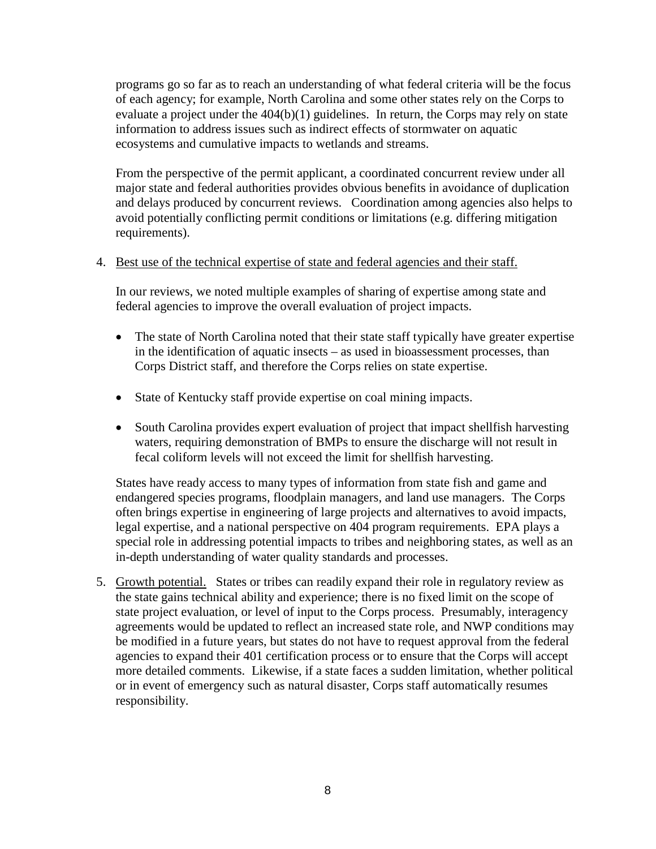programs go so far as to reach an understanding of what federal criteria will be the focus of each agency; for example, North Carolina and some other states rely on the Corps to evaluate a project under the 404(b)(1) guidelines. In return, the Corps may rely on state information to address issues such as indirect effects of stormwater on aquatic ecosystems and cumulative impacts to wetlands and streams.

From the perspective of the permit applicant, a coordinated concurrent review under all major state and federal authorities provides obvious benefits in avoidance of duplication and delays produced by concurrent reviews. Coordination among agencies also helps to avoid potentially conflicting permit conditions or limitations (e.g. differing mitigation requirements).

#### 4. Best use of the technical expertise of state and federal agencies and their staff.

In our reviews, we noted multiple examples of sharing of expertise among state and federal agencies to improve the overall evaluation of project impacts.

- The state of North Carolina noted that their state staff typically have greater expertise in the identification of aquatic insects – as used in bioassessment processes, than Corps District staff, and therefore the Corps relies on state expertise.
- State of Kentucky staff provide expertise on coal mining impacts.
- South Carolina provides expert evaluation of project that impact shellfish harvesting waters, requiring demonstration of BMPs to ensure the discharge will not result in fecal coliform levels will not exceed the limit for shellfish harvesting.

States have ready access to many types of information from state fish and game and endangered species programs, floodplain managers, and land use managers. The Corps often brings expertise in engineering of large projects and alternatives to avoid impacts, legal expertise, and a national perspective on 404 program requirements. EPA plays a special role in addressing potential impacts to tribes and neighboring states, as well as an in-depth understanding of water quality standards and processes.

5. Growth potential. States or tribes can readily expand their role in regulatory review as the state gains technical ability and experience; there is no fixed limit on the scope of state project evaluation, or level of input to the Corps process. Presumably, interagency agreements would be updated to reflect an increased state role, and NWP conditions may be modified in a future years, but states do not have to request approval from the federal agencies to expand their 401 certification process or to ensure that the Corps will accept more detailed comments. Likewise, if a state faces a sudden limitation, whether political or in event of emergency such as natural disaster, Corps staff automatically resumes responsibility.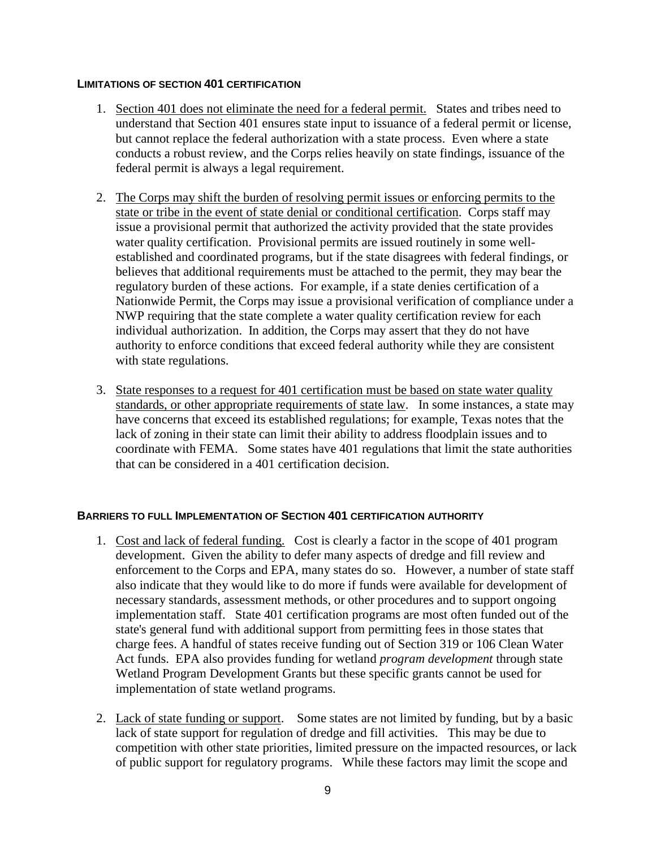#### **LIMITATIONS OF SECTION 401 CERTIFICATION**

- 1. Section 401 does not eliminate the need for a federal permit. States and tribes need to understand that Section 401 ensures state input to issuance of a federal permit or license, but cannot replace the federal authorization with a state process. Even where a state conducts a robust review, and the Corps relies heavily on state findings, issuance of the federal permit is always a legal requirement.
- 2. The Corps may shift the burden of resolving permit issues or enforcing permits to the state or tribe in the event of state denial or conditional certification. Corps staff may issue a provisional permit that authorized the activity provided that the state provides water quality certification. Provisional permits are issued routinely in some wellestablished and coordinated programs, but if the state disagrees with federal findings, or believes that additional requirements must be attached to the permit, they may bear the regulatory burden of these actions. For example, if a state denies certification of a Nationwide Permit, the Corps may issue a provisional verification of compliance under a NWP requiring that the state complete a water quality certification review for each individual authorization. In addition, the Corps may assert that they do not have authority to enforce conditions that exceed federal authority while they are consistent with state regulations.
- 3. State responses to a request for 401 certification must be based on state water quality standards, or other appropriate requirements of state law. In some instances, a state may have concerns that exceed its established regulations; for example, Texas notes that the lack of zoning in their state can limit their ability to address floodplain issues and to coordinate with FEMA. Some states have 401 regulations that limit the state authorities that can be considered in a 401 certification decision.

#### **BARRIERS TO FULL IMPLEMENTATION OF SECTION 401 CERTIFICATION AUTHORITY**

- 1. Cost and lack of federal funding. Cost is clearly a factor in the scope of 401 program development. Given the ability to defer many aspects of dredge and fill review and enforcement to the Corps and EPA, many states do so. However, a number of state staff also indicate that they would like to do more if funds were available for development of necessary standards, assessment methods, or other procedures and to support ongoing implementation staff. State 401 certification programs are most often funded out of the state's general fund with additional support from permitting fees in those states that charge fees. A handful of states receive funding out of Section 319 or 106 Clean Water Act funds. EPA also provides funding for wetland *program development* through state Wetland Program Development Grants but these specific grants cannot be used for implementation of state wetland programs.
- 2. Lack of state funding or support. Some states are not limited by funding, but by a basic lack of state support for regulation of dredge and fill activities. This may be due to competition with other state priorities, limited pressure on the impacted resources, or lack of public support for regulatory programs. While these factors may limit the scope and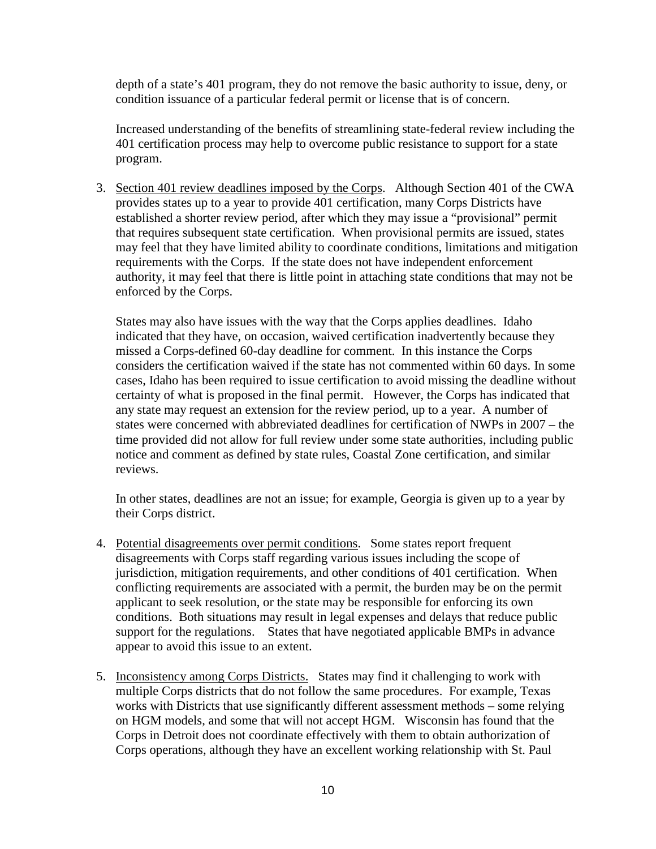depth of a state's 401 program, they do not remove the basic authority to issue, deny, or condition issuance of a particular federal permit or license that is of concern.

Increased understanding of the benefits of streamlining state-federal review including the 401 certification process may help to overcome public resistance to support for a state program.

3. Section 401 review deadlines imposed by the Corps. Although Section 401 of the CWA provides states up to a year to provide 401 certification, many Corps Districts have established a shorter review period, after which they may issue a "provisional" permit that requires subsequent state certification. When provisional permits are issued, states may feel that they have limited ability to coordinate conditions, limitations and mitigation requirements with the Corps. If the state does not have independent enforcement authority, it may feel that there is little point in attaching state conditions that may not be enforced by the Corps.

States may also have issues with the way that the Corps applies deadlines. Idaho indicated that they have, on occasion, waived certification inadvertently because they missed a Corps-defined 60-day deadline for comment. In this instance the Corps considers the certification waived if the state has not commented within 60 days. In some cases, Idaho has been required to issue certification to avoid missing the deadline without certainty of what is proposed in the final permit. However, the Corps has indicated that any state may request an extension for the review period, up to a year. A number of states were concerned with abbreviated deadlines for certification of NWPs in 2007 – the time provided did not allow for full review under some state authorities, including public notice and comment as defined by state rules, Coastal Zone certification, and similar reviews.

In other states, deadlines are not an issue; for example, Georgia is given up to a year by their Corps district.

- 4. Potential disagreements over permit conditions. Some states report frequent disagreements with Corps staff regarding various issues including the scope of jurisdiction, mitigation requirements, and other conditions of 401 certification. When conflicting requirements are associated with a permit, the burden may be on the permit applicant to seek resolution, or the state may be responsible for enforcing its own conditions. Both situations may result in legal expenses and delays that reduce public support for the regulations. States that have negotiated applicable BMPs in advance appear to avoid this issue to an extent.
- 5. Inconsistency among Corps Districts. States may find it challenging to work with multiple Corps districts that do not follow the same procedures. For example, Texas works with Districts that use significantly different assessment methods – some relying on HGM models, and some that will not accept HGM. Wisconsin has found that the Corps in Detroit does not coordinate effectively with them to obtain authorization of Corps operations, although they have an excellent working relationship with St. Paul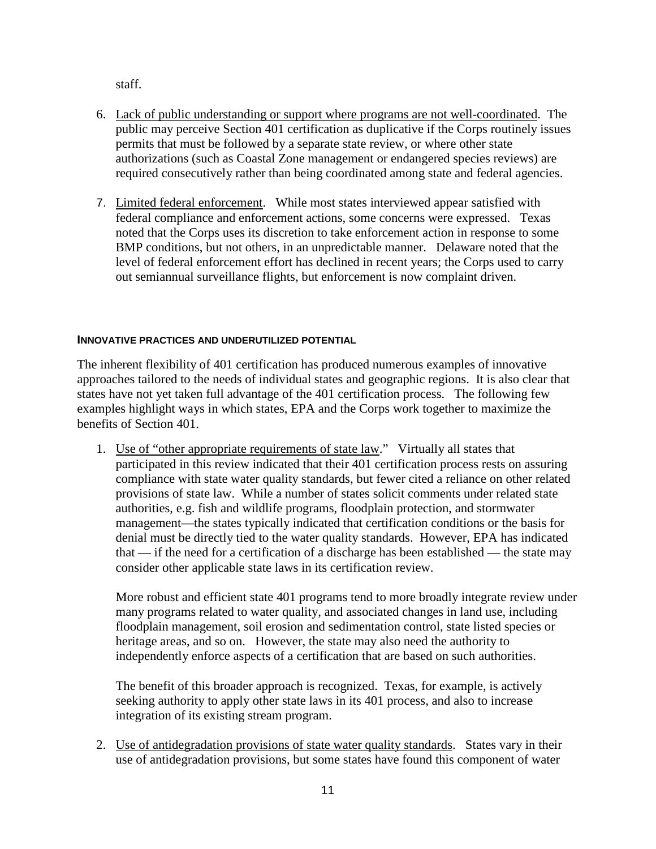staff.

- 6. Lack of public understanding or support where programs are not well-coordinated. The public may perceive Section 401 certification as duplicative if the Corps routinely issues permits that must be followed by a separate state review, or where other state authorizations (such as Coastal Zone management or endangered species reviews) are required consecutively rather than being coordinated among state and federal agencies.
- 7. Limited federal enforcement. While most states interviewed appear satisfied with federal compliance and enforcement actions, some concerns were expressed. Texas noted that the Corps uses its discretion to take enforcement action in response to some BMP conditions, but not others, in an unpredictable manner. Delaware noted that the level of federal enforcement effort has declined in recent years; the Corps used to carry out semiannual surveillance flights, but enforcement is now complaint driven.

### **INNOVATIVE PRACTICES AND UNDERUTILIZED POTENTIAL**

The inherent flexibility of 401 certification has produced numerous examples of innovative approaches tailored to the needs of individual states and geographic regions. It is also clear that states have not yet taken full advantage of the 401 certification process. The following few examples highlight ways in which states, EPA and the Corps work together to maximize the benefits of Section 401.

1. Use of "other appropriate requirements of state law." Virtually all states that participated in this review indicated that their 401 certification process rests on assuring compliance with state water quality standards, but fewer cited a reliance on other related provisions of state law. While a number of states solicit comments under related state authorities, e.g. fish and wildlife programs, floodplain protection, and stormwater management—the states typically indicated that certification conditions or the basis for denial must be directly tied to the water quality standards. However, EPA has indicated that — if the need for a certification of a discharge has been established — the state may consider other applicable state laws in its certification review.

More robust and efficient state 401 programs tend to more broadly integrate review under many programs related to water quality, and associated changes in land use, including floodplain management, soil erosion and sedimentation control, state listed species or heritage areas, and so on. However, the state may also need the authority to independently enforce aspects of a certification that are based on such authorities.

The benefit of this broader approach is recognized. Texas, for example, is actively seeking authority to apply other state laws in its 401 process, and also to increase integration of its existing stream program.

2. Use of antidegradation provisions of state water quality standards. States vary in their use of antidegradation provisions, but some states have found this component of water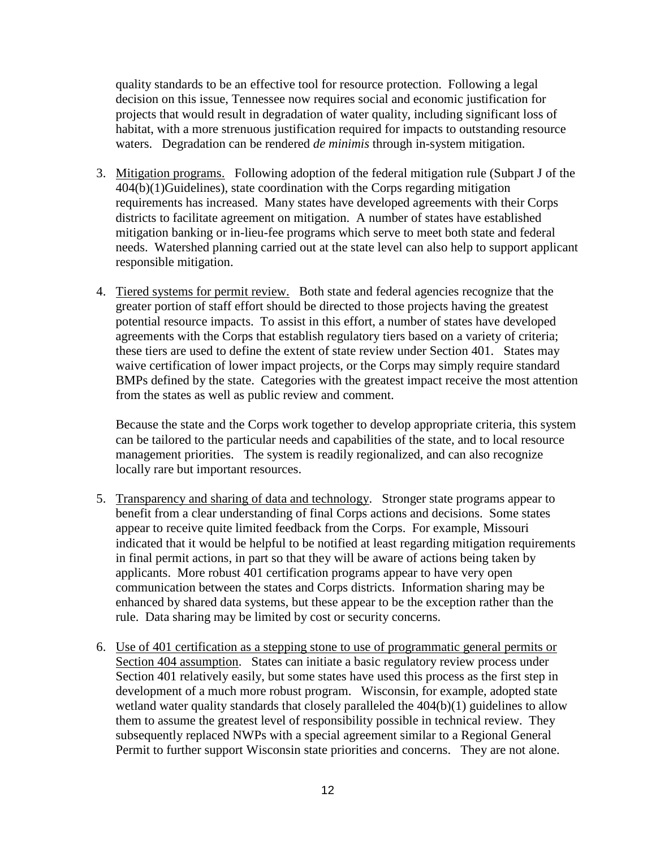quality standards to be an effective tool for resource protection. Following a legal decision on this issue, Tennessee now requires social and economic justification for projects that would result in degradation of water quality, including significant loss of habitat, with a more strenuous justification required for impacts to outstanding resource waters. Degradation can be rendered *de minimis* through in-system mitigation.

- 3. Mitigation programs. Following adoption of the federal mitigation rule (Subpart J of the 404(b)(1)Guidelines), state coordination with the Corps regarding mitigation requirements has increased. Many states have developed agreements with their Corps districts to facilitate agreement on mitigation. A number of states have established mitigation banking or in-lieu-fee programs which serve to meet both state and federal needs. Watershed planning carried out at the state level can also help to support applicant responsible mitigation.
- 4. Tiered systems for permit review. Both state and federal agencies recognize that the greater portion of staff effort should be directed to those projects having the greatest potential resource impacts. To assist in this effort, a number of states have developed agreements with the Corps that establish regulatory tiers based on a variety of criteria; these tiers are used to define the extent of state review under Section 401. States may waive certification of lower impact projects, or the Corps may simply require standard BMPs defined by the state. Categories with the greatest impact receive the most attention from the states as well as public review and comment.

Because the state and the Corps work together to develop appropriate criteria, this system can be tailored to the particular needs and capabilities of the state, and to local resource management priorities. The system is readily regionalized, and can also recognize locally rare but important resources.

- 5. Transparency and sharing of data and technology. Stronger state programs appear to benefit from a clear understanding of final Corps actions and decisions. Some states appear to receive quite limited feedback from the Corps. For example, Missouri indicated that it would be helpful to be notified at least regarding mitigation requirements in final permit actions, in part so that they will be aware of actions being taken by applicants. More robust 401 certification programs appear to have very open communication between the states and Corps districts. Information sharing may be enhanced by shared data systems, but these appear to be the exception rather than the rule. Data sharing may be limited by cost or security concerns.
- 6. Use of 401 certification as a stepping stone to use of programmatic general permits or Section 404 assumption. States can initiate a basic regulatory review process under Section 401 relatively easily, but some states have used this process as the first step in development of a much more robust program. Wisconsin, for example, adopted state wetland water quality standards that closely paralleled the  $404(b)(1)$  guidelines to allow them to assume the greatest level of responsibility possible in technical review. They subsequently replaced NWPs with a special agreement similar to a Regional General Permit to further support Wisconsin state priorities and concerns. They are not alone.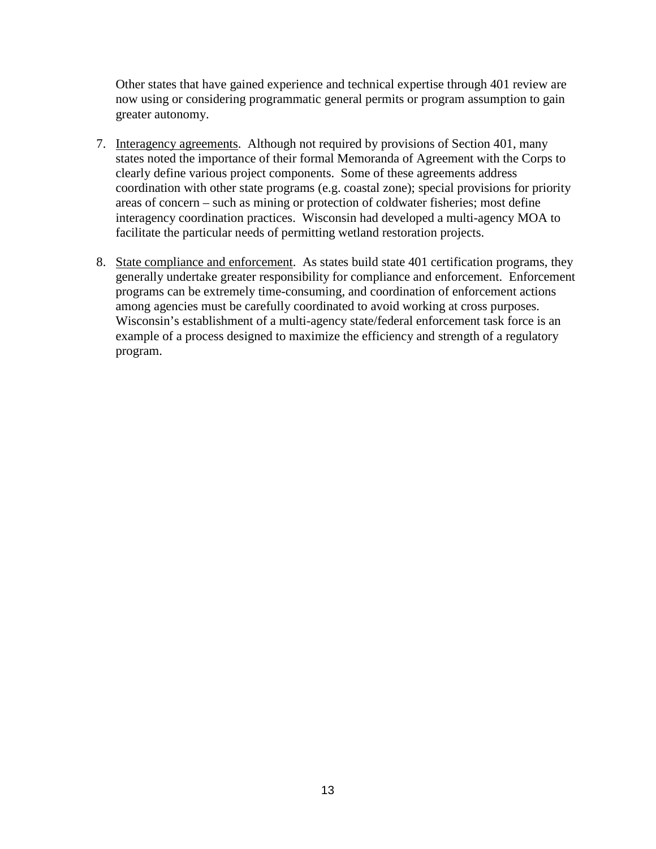Other states that have gained experience and technical expertise through 401 review are now using or considering programmatic general permits or program assumption to gain greater autonomy.

- 7. Interagency agreements. Although not required by provisions of Section 401, many states noted the importance of their formal Memoranda of Agreement with the Corps to clearly define various project components. Some of these agreements address coordination with other state programs (e.g. coastal zone); special provisions for priority areas of concern – such as mining or protection of coldwater fisheries; most define interagency coordination practices. Wisconsin had developed a multi-agency MOA to facilitate the particular needs of permitting wetland restoration projects.
- 8. State compliance and enforcement. As states build state 401 certification programs, they generally undertake greater responsibility for compliance and enforcement. Enforcement programs can be extremely time-consuming, and coordination of enforcement actions among agencies must be carefully coordinated to avoid working at cross purposes. Wisconsin's establishment of a multi-agency state/federal enforcement task force is an example of a process designed to maximize the efficiency and strength of a regulatory program.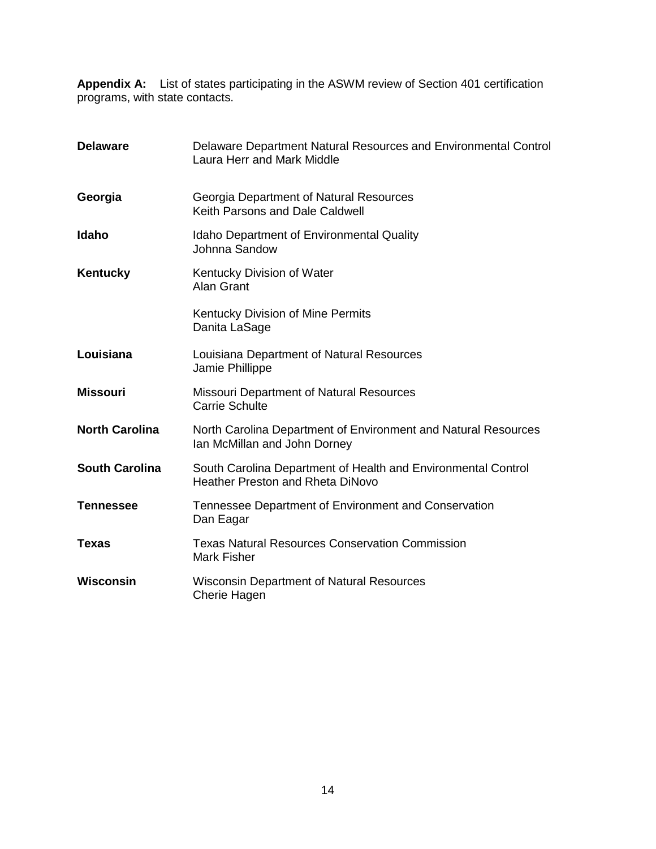**Appendix A:** List of states participating in the ASWM review of Section 401 certification programs, with state contacts.

| <b>Delaware</b>       | Delaware Department Natural Resources and Environmental Control<br>Laura Herr and Mark Middle            |
|-----------------------|----------------------------------------------------------------------------------------------------------|
| Georgia               | Georgia Department of Natural Resources<br>Keith Parsons and Dale Caldwell                               |
| Idaho                 | <b>Idaho Department of Environmental Quality</b><br>Johnna Sandow                                        |
| Kentucky              | Kentucky Division of Water<br>Alan Grant                                                                 |
|                       | Kentucky Division of Mine Permits<br>Danita LaSage                                                       |
| Louisiana             | Louisiana Department of Natural Resources<br>Jamie Phillippe                                             |
| <b>Missouri</b>       | <b>Missouri Department of Natural Resources</b><br><b>Carrie Schulte</b>                                 |
| <b>North Carolina</b> | North Carolina Department of Environment and Natural Resources<br>Ian McMillan and John Dorney           |
| <b>South Carolina</b> | South Carolina Department of Health and Environmental Control<br><b>Heather Preston and Rheta DiNovo</b> |
| <b>Tennessee</b>      | Tennessee Department of Environment and Conservation<br>Dan Eagar                                        |
| <b>Texas</b>          | <b>Texas Natural Resources Conservation Commission</b><br><b>Mark Fisher</b>                             |
| Wisconsin             | <b>Wisconsin Department of Natural Resources</b><br><b>Cherie Hagen</b>                                  |